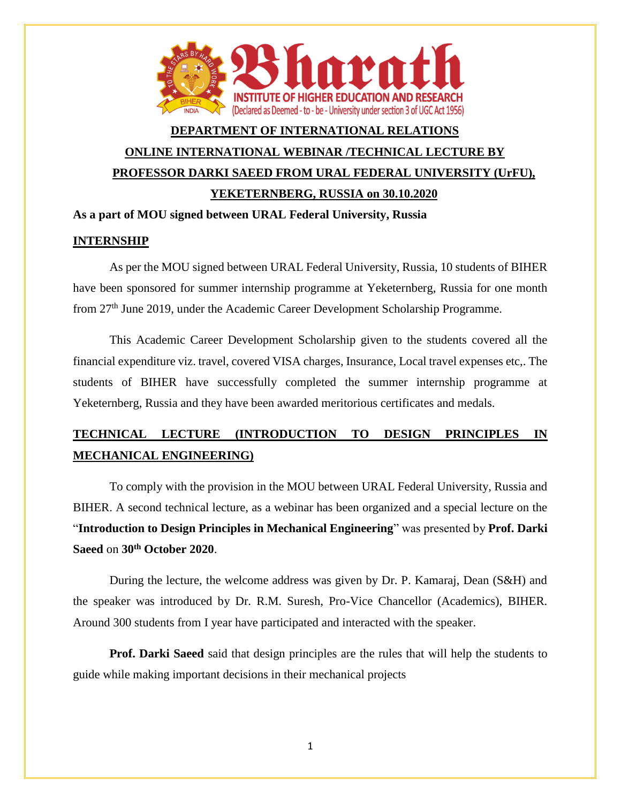

## **DEPARTMENT OF INTERNATIONAL RELATIONS ONLINE INTERNATIONAL WEBINAR /TECHNICAL LECTURE BY PROFESSOR DARKI SAEED FROM URAL FEDERAL UNIVERSITY (UrFU), YEKETERNBERG, RUSSIA on 30.10.2020**

## **As a part of MOU signed between URAL Federal University, Russia**

## **INTERNSHIP**

As per the MOU signed between URAL Federal University, Russia, 10 students of BIHER have been sponsored for summer internship programme at Yeketernberg, Russia for one month from 27th June 2019, under the Academic Career Development Scholarship Programme.

This Academic Career Development Scholarship given to the students covered all the financial expenditure viz. travel, covered VISA charges, Insurance, Local travel expenses etc,. The students of BIHER have successfully completed the summer internship programme at Yeketernberg, Russia and they have been awarded meritorious certificates and medals.

## **TECHNICAL LECTURE (INTRODUCTION TO DESIGN PRINCIPLES IN MECHANICAL ENGINEERING)**

To comply with the provision in the MOU between URAL Federal University, Russia and BIHER. A second technical lecture, as a webinar has been organized and a special lecture on the "**Introduction to Design Principles in Mechanical Engineering**" was presented by **Prof. Darki Saeed** on **30th October 2020**.

During the lecture, the welcome address was given by Dr. P. Kamaraj, Dean (S&H) and the speaker was introduced by Dr. R.M. Suresh, Pro-Vice Chancellor (Academics), BIHER. Around 300 students from I year have participated and interacted with the speaker.

**Prof. Darki Saeed** said that design principles are the rules that will help the students to guide while making important decisions in their mechanical projects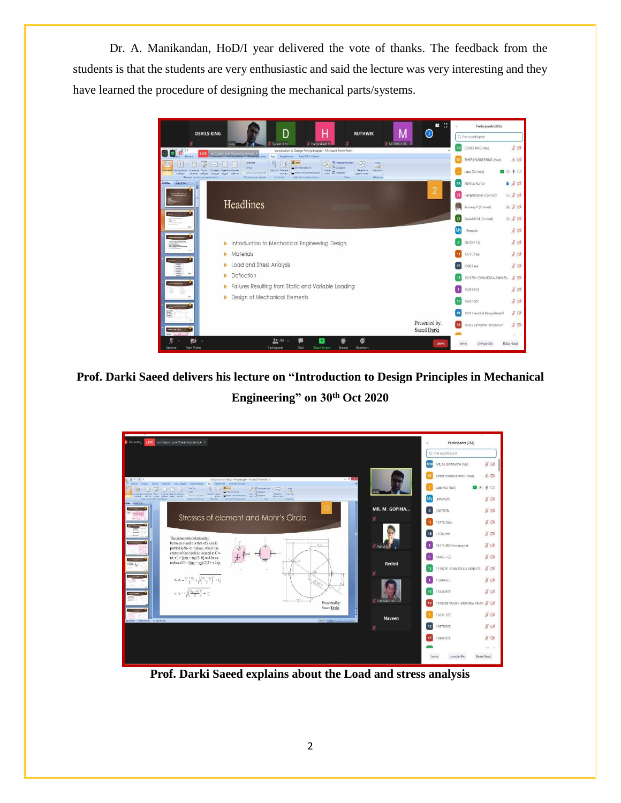Dr. A. Manikandan, HoD/I year delivered the vote of thanks. The feedback from the students is that the students are very enthusiastic and said the lecture was very interesting and they have learned the procedure of designing the mechanical parts/systems.



**Prof. Darki Saeed delivers his lecture on "Introduction to Design Principles in Mechanical Engineering" on 30th Oct 2020**



**Prof. Darki Saeed explains about the Load and stress analysis**